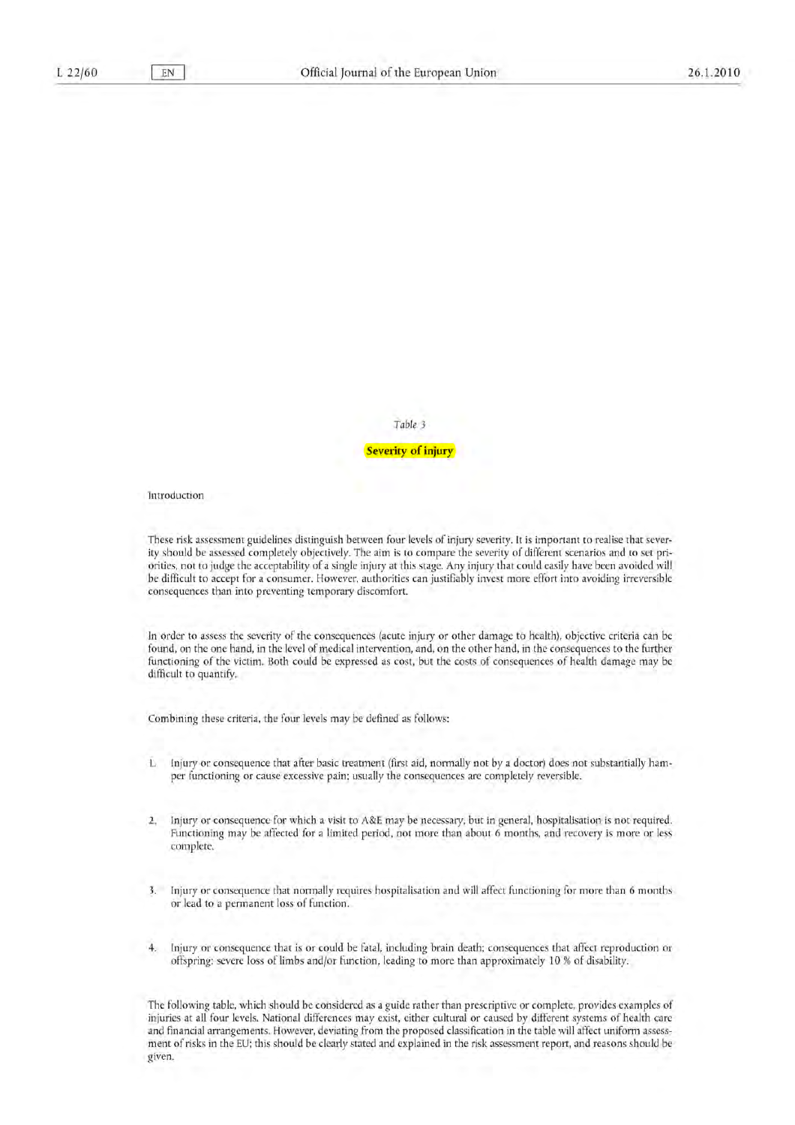FN

## Table 3

**Severity of injury** 

Introduction

These risk assessment guidelines distinguish between four levels of injury severity. It is important to realise that severity should be assessed completely objectively. The aim is to compare the severity of different scenarios and to set priorities, not to judge the acceptability of a single injury at this stage. Any injury that could easily have been avoided will be difficult to accept for a consumer. However, authorities can justifiably invest more effort into avoiding irreversible consequences than into preventing temporary discomfort.

In order to assess the severity of the consequences (acute injury or other damage to health), objective criteria can be found, on the one hand, in the level of medical intervention, and, on the other hand, in the consequences to the further functioning of the victim. Both could be expressed as cost, but the costs of consequences of health damage may be difficult to quantify.

Combining these criteria, the four levels may be defined as follows:

- Injury or consequence that after basic treatment (first aid, normally not by a doctor) does not substantially ham- $\mathbf{L}$ per functioning or cause excessive pain; usually the consequences are completely reversible.
- $2.$ Injury or consequence for which a visit to A&E may be necessary, but in general, hospitalisation is not required. Functioning may be affected for a limited period, not more than about 6 months, and recovery is more or less complete,
- 3. Injury or consequence that normally requires hospitalisation and will affect functioning for more than 6 months or lead to a permanent loss of function.
- Injury or consequence that is or could be fatal, including brain death; consequences that affect reproduction or  $4.$ offspring; severe loss of limbs and/or function, leading to more than approximately 10 % of disability.

The following table, which should be considered as a guide rather than prescriptive or complete, provides examples of injuries at all four levels. National differences may exist, either cultural or caused by different systems of health care and financial arrangements. However, deviating from the proposed classification in the table will affect uniform assessment of risks in the EU; this should be clearly stated and explained in the risk assessment report, and reasons should be given.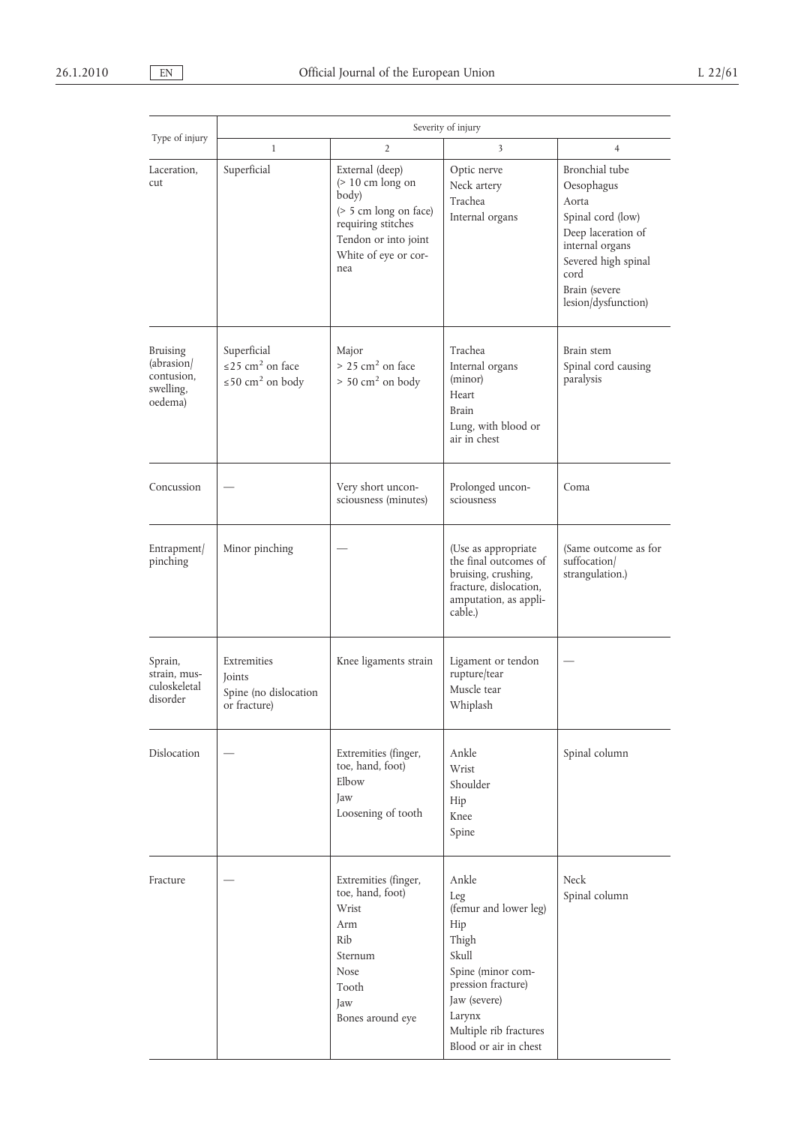| Type of injury<br>Laceration,<br>cut                                | Severity of injury                                                                    |                                                                                                                                                          |                                                                                                                                                                                        |                                                                                                                                                                            |  |
|---------------------------------------------------------------------|---------------------------------------------------------------------------------------|----------------------------------------------------------------------------------------------------------------------------------------------------------|----------------------------------------------------------------------------------------------------------------------------------------------------------------------------------------|----------------------------------------------------------------------------------------------------------------------------------------------------------------------------|--|
|                                                                     | $\mathbf{1}$                                                                          | 2                                                                                                                                                        | 3                                                                                                                                                                                      | $\overline{4}$                                                                                                                                                             |  |
|                                                                     | Superficial                                                                           | External (deep)<br>$($ > 10 cm long on<br>body)<br>$($ > 5 cm long on face)<br>requiring stitches<br>Tendon or into joint<br>White of eye or cor-<br>nea | Optic nerve<br>Neck artery<br>Trachea<br>Internal organs                                                                                                                               | Bronchial tube<br>Oesophagus<br>Aorta<br>Spinal cord (low)<br>Deep laceration of<br>internal organs<br>Severed high spinal<br>cord<br>Brain (severe<br>lesion/dysfunction) |  |
| <b>Bruising</b><br>(abrasion)<br>contusion,<br>swelling,<br>oedema) | Superficial<br>$\leq$ 25 cm <sup>2</sup> on face<br>$\leq$ 50 cm <sup>2</sup> on body | Major<br>$> 25$ cm <sup>2</sup> on face<br>$> 50$ cm <sup>2</sup> on body                                                                                | Trachea<br>Internal organs<br>(minor)<br>Heart<br>Brain<br>Lung, with blood or<br>air in chest                                                                                         | Brain stem<br>Spinal cord causing<br>paralysis                                                                                                                             |  |
| Concussion                                                          |                                                                                       | Very short uncon-<br>sciousness (minutes)                                                                                                                | Prolonged uncon-<br>sciousness                                                                                                                                                         | Coma                                                                                                                                                                       |  |
| Entrapment/<br>pinching                                             | Minor pinching                                                                        |                                                                                                                                                          | (Use as appropriate<br>the final outcomes of<br>bruising, crushing,<br>fracture, dislocation,<br>amputation, as appli-<br>cable.)                                                      | (Same outcome as for<br>suffocation/<br>strangulation.)                                                                                                                    |  |
| Sprain,<br>strain, mus-<br>culoskeletal<br>disorder                 | Extremities<br>Joints<br>Spine (no dislocation<br>or fracture)                        | Knee ligaments strain                                                                                                                                    | Ligament or tendon<br>rupture/tear<br>Muscle tear<br>Whiplash                                                                                                                          |                                                                                                                                                                            |  |
| <b>Dislocation</b>                                                  |                                                                                       | Extremities (finger,<br>toe, hand, foot)<br>$E1$ <sub>bow</sub><br>Jaw<br>Loosening of tooth                                                             | Ankle<br>Wrist<br>Shoulder<br>Hip<br>Knee<br>Spine                                                                                                                                     | Spinal column                                                                                                                                                              |  |
| Fracture                                                            |                                                                                       | Extremities (finger,<br>toe, hand, foot)<br>Wrist<br>Arm<br>Rib<br>Sternum<br><b>Nose</b><br>Tooth<br>Jaw<br>Bones around eye                            | Ankle<br>Leg<br>(femur and lower leg)<br>Hip<br>Thigh<br>Skull<br>Spine (minor com-<br>pression fracture)<br>Jaw (severe)<br>Larynx<br>Multiple rib fractures<br>Blood or air in chest | Neck<br>Spinal column                                                                                                                                                      |  |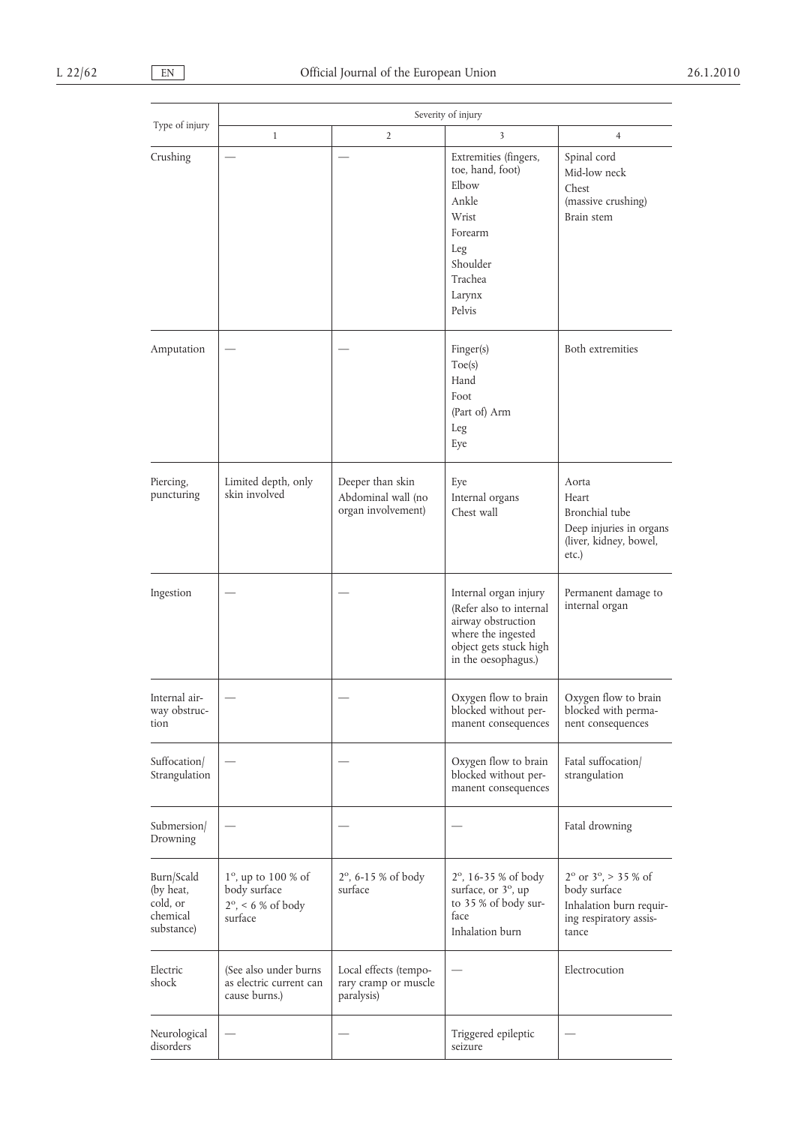| Type of injury                                                | Severity of injury                                                                   |                                                              |                                                                                                                                               |                                                                                                                      |  |
|---------------------------------------------------------------|--------------------------------------------------------------------------------------|--------------------------------------------------------------|-----------------------------------------------------------------------------------------------------------------------------------------------|----------------------------------------------------------------------------------------------------------------------|--|
|                                                               | $\mathbf{1}$                                                                         | $\overline{2}$                                               | 3                                                                                                                                             | $\overline{4}$                                                                                                       |  |
| Crushing                                                      |                                                                                      |                                                              | Extremities (fingers,<br>toe, hand, foot)<br>Elbow<br>Ankle<br>Wrist<br>Forearm<br>Leg<br>Shoulder<br>Trachea<br>Larynx<br>Pelvis             | Spinal cord<br>Mid-low neck<br>Chest<br>(massive crushing)<br>Brain stem                                             |  |
| Amputation                                                    |                                                                                      |                                                              | Finger(s)<br>Toe(s)<br>Hand<br>Foot<br>(Part of) Arm<br>Leg<br>Eye                                                                            | Both extremities                                                                                                     |  |
| Piercing,<br>puncturing                                       | Limited depth, only<br>skin involved                                                 | Deeper than skin<br>Abdominal wall (no<br>organ involvement) | Eye<br>Internal organs<br>Chest wall                                                                                                          | Aorta<br>Heart<br>Bronchial tube<br>Deep injuries in organs<br>(liver, kidney, bowel,<br>etc.)                       |  |
| Ingestion                                                     |                                                                                      |                                                              | Internal organ injury<br>(Refer also to internal<br>airway obstruction<br>where the ingested<br>object gets stuck high<br>in the oesophagus.) | Permanent damage to<br>internal organ                                                                                |  |
| Internal air-<br>way obstruc-<br>tion                         |                                                                                      |                                                              | Oxygen flow to brain<br>blocked without per-<br>manent consequences                                                                           | Oxygen flow to brain<br>blocked with perma-<br>nent consequences                                                     |  |
| Suffocation/<br>Strangulation                                 |                                                                                      |                                                              | Oxygen flow to brain<br>blocked without per-<br>manent consequences                                                                           | Fatal suffocation<br>strangulation                                                                                   |  |
| Submersion/<br>Drowning                                       |                                                                                      |                                                              |                                                                                                                                               | Fatal drowning                                                                                                       |  |
| Burn/Scald<br>(by heat,<br>cold, or<br>chemical<br>substance) | $1^\circ$ , up to $100\%$ of<br>body surface<br>$2^\circ$ , < 6 % of body<br>surface | $2^{\circ}$ , 6-15 % of body<br>surface                      | $2^{\circ}$ , 16-35 % of body<br>surface, or 3°, up<br>to 35 % of body sur-<br>face<br>Inhalation burn                                        | $2^{\circ}$ or $3^{\circ}$ , > 35 % of<br>body surface<br>Inhalation burn requir-<br>ing respiratory assis-<br>tance |  |
| Electric<br>shock                                             | (See also under burns<br>as electric current can<br>cause burns.)                    | Local effects (tempo-<br>rary cramp or muscle<br>paralysis)  |                                                                                                                                               | Electrocution                                                                                                        |  |
| Neurological<br>disorders                                     |                                                                                      |                                                              | Triggered epileptic<br>seizure                                                                                                                |                                                                                                                      |  |